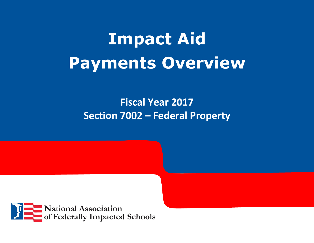# **Impact Aid Payments Overview**

## **Fiscal Year 2017 Section 7002 – Federal Property**

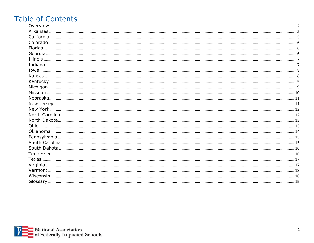## **Table of Contents**

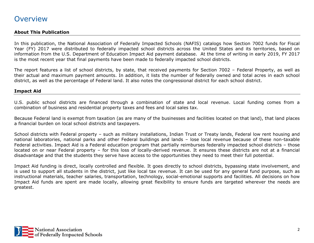#### <span id="page-2-0"></span>**Overview**

#### **About This Publication**

In this publication, the National Association of Federally Impacted Schools (NAFIS) catalogs how Section 7002 funds for Fiscal Year (FY) 2017 were distributed to federally impacted school districts across the United States and its territories, based on information from the U.S. Department of Education Impact Aid payment database. At the time of writing in early 2019, FY 2017 is the most recent year that final payments have been made to federally impacted school districts.

The report features a list of school districts, by state, that received payments for Section 7002 – Federal Property, as well as their actual and maximum payment amounts. In addition, it lists the number of federally owned and total acres in each school district, as well as the percentage of Federal land. It also notes the congressional district for each school district.

#### **Impact Aid**

U.S. public school districts are financed through a combination of state and local revenue. Local funding comes from a combination of business and residential property taxes and fees and local sales tax.

Because Federal land is exempt from taxation (as are many of the businesses and facilities located on that land), that land places a financial burden on local school districts and taxpayers.

School districts with Federal property – such as military installations, Indian Trust or Treaty lands, Federal low rent housing and national laboratories, national parks and other Federal buildings and lands – lose local revenue because of these non-taxable Federal activities. Impact Aid is a Federal education program that partially reimburses federally impacted school districts – those located on or near Federal property – for this loss of locally-derived revenue. It ensures these districts are not at a financial disadvantage and that the students they serve have access to the opportunities they need to meet their full potential.

Impact Aid funding is direct, locally controlled and flexible. It goes directly to school districts, bypassing state involvement, and is used to support all students in the district, just like local tax revenue. It can be used for any general fund purpose, such as instructional materials, teacher salaries, transportation, technology, social-emotional supports and facilities. All decisions on how Impact Aid funds are spent are made locally, allowing great flexibility to ensure funds are targeted wherever the needs are greatest.

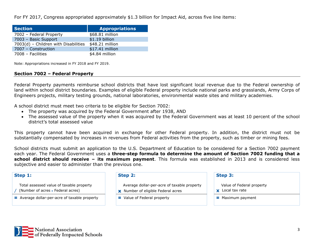For FY 2017, Congress appropriated approximately \$1.3 billion for Impact Aid, across five line items:

| <b>Section</b>                       | <b>Appropriations</b> |
|--------------------------------------|-----------------------|
| 7002 - Federal Property              | \$68.81 million       |
| 7003 - Basic Support                 | \$1.19 billion        |
| 7003(d) - Children with Disabilities | \$48.21 million       |
| 7007 - Construction                  | \$17.41 million       |
| 7008 - Facilities                    | \$4.84 million        |

Note: Appropriations increased in FY 2018 and FY 2019.

#### **Section 7002 – Federal Property**

Federal Property payments reimburse school districts that have lost significant local revenue due to the Federal ownership of land within school district boundaries. Examples of eligible Federal property include national parks and grasslands, Army Corps of Engineers projects, military testing grounds, national laboratories, environmental waste sites and military academies.

A school district must meet two criteria to be eligible for Section 7002:

- The property was acquired by the Federal Government after 1938, AND
- The assessed value of the property when it was acquired by the Federal Government was at least 10 percent of the school district's total assessed value

This property cannot have been acquired in exchange for other Federal property. In addition, the district must not be substantially compensated by increases in revenues from Federal activities from the property, such as timber or mining fees.

School districts must submit an application to the U.S. Department of Education to be considered for a Section 7002 payment each year. The Federal Government uses a **three-step formula to determine the amount of Section 7002 funding that a school district should receive – its maximum payment**. This formula was established in 2013 and is considered less subjective and easier to administer than the previous one.

| Step 1:                                                                       | Step 2:                                                                                  | Step 3:                                              |
|-------------------------------------------------------------------------------|------------------------------------------------------------------------------------------|------------------------------------------------------|
| Total assessed value of taxable property<br>(Number of acres - Federal acres) | Average dollar-per-acre of taxable property<br><b>x</b> Number of eligible Federal acres | Value of Federal property<br><b>x</b> Local tax rate |
| $\equiv$ Average dollar-per-acre of taxable property                          | $\equiv$ Value of Federal property                                                       | $\equiv$ Maximum payment                             |

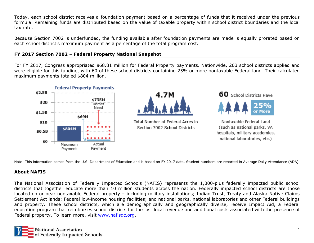Today, each school district receives a foundation payment based on a percentage of funds that it received under the previous formula. Remaining funds are distributed based on the value of taxable property within school district boundaries and the local tax rate.

Because Section 7002 is underfunded, the funding available after foundation payments are made is equally prorated based on each school district's maximum payment as a percentage of the total program cost.

#### **FY 2017 Section 7002 – Federal Property National Snapshot**

For FY 2017, Congress appropriated \$68.81 million for Federal Property payments. Nationwide, 203 school districts applied and were eligible for this funding, with 60 of these school districts containing 25% or more nontaxable Federal land. Their calculated maximum payments totaled \$804 million.



Note: This information comes from the U.S. Department of Education and is based on FY 2017 data. Student numbers are reported in Average Daily Attendance (ADA).

#### **About NAFIS**

The National Association of Federally Impacted Schools (NAFIS) represents the 1,300-plus federally impacted public school districts that together educate more than 10 million students across the nation. Federally impacted school districts are those located on or near nontaxable Federal property – including military installations; Indian Trust, Treaty and Alaska Native Claims Settlement Act lands; Federal low-income housing facilities; and national parks, national laboratories and other Federal buildings and property. These school districts, which are demographically and geographically diverse, receive Impact Aid, a Federal education program that reimburses school districts for the lost local revenue and additional costs associated with the presence of Federal property. To learn more, visit [www.nafisdc.org.](http://www.nafisdc.org/)

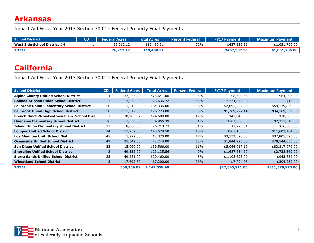#### <span id="page-5-0"></span>**Arkansas**

Impact Aid Fiscal Year 2017 Section 7002 – Federal Property Final Payments

| <b>School District</b>       | CD | <b>Federal Acres</b> | <b>Total Acres</b> | Percent Federal | <b>FY17 Payment</b> | <b>Maximum Payment</b> |
|------------------------------|----|----------------------|--------------------|-----------------|---------------------|------------------------|
| West Side School District #4 |    | 26,212.12            | 119,450.31         | 22%             | \$457,332.56        | \$1,051,706.00         |
| <b>TOTAL</b>                 |    | 26,212.12            | 119,450.31         |                 | \$457,332.56        | \$1,051,706,00         |

## <span id="page-5-1"></span>**California**

| <b>School District</b>                            | CD | <b>Federal Acres</b> | <b>Total Acres</b> | <b>Percent Federal</b> | <b>FY17 Payment</b> | <b>Maximum Payment</b> |
|---------------------------------------------------|----|----------------------|--------------------|------------------------|---------------------|------------------------|
| <b>Alpine County Unified School District</b>      |    | 22,255.29            | 475,641.00         | 5%                     | \$8,699.58          | \$64,206.00            |
| <b>Bolinas-Stinson Union School District</b>      | 2  | 12,072.00            | 26,636.72          | 45%                    | \$274,845.00        | \$16.00                |
| <b>Fallbrook Union Elementary School District</b> | 50 | 111,512.00           | 164,336.00         | 68%                    | \$2,095,564.63      | \$59,139,859.00        |
| <b>Fallbrook Union High School District</b>       | 50 | 111,512.00           | 176,723.00         | 63%                    | \$1,269,227.14      | \$34,169,359.00        |
| French Gulch-Whiskeytown Elem. School Dist.       |    | 20,905.62            | 124,600.00         | 17%                    | \$47,846.00         | \$20,663.00            |
| <b>Hueneme Elementary School District</b>         | 26 | 1,550.00             | 4,955.39           | 31%                    | \$162,050.03        | \$2,351,516.00         |
| <b>Island Union Elementary School District</b>    | 21 | 8,000.00             | 26,213.73          | 31%                    | \$1,223.31          | \$76,605.00            |
| <b>Lompoc Unified School District</b>             | 24 | 57,952.38            | 143,528.50         | 40%                    | \$561,138.53        | \$11,603,184.00        |
| Los Alamitos Unif. School Dist.                   | 47 | 5,792.00             | 12,320.00          | 47%                    | \$3,532,320.58      | \$37,805,395.00        |
| <b>Oceanside Unified School District</b>          | 49 | 25,342.00            | 42,243.00          | 60%                    | \$1,844,925.32      | \$78,544,633.00        |
| <b>San Diego Unified School District</b>          | 53 | 15,060.00            | 139,566.00         | 11%                    | \$5,044,017.19      | \$83,817,079.00        |
| <b>Shoreline Unified School District</b>          | 2  | 49,332.00            | 123,135.56         | 40%                    | \$1,687,634.67      | \$2,738,369.00         |
| <b>Sierra Sands Unified School District</b>       | 23 | 49,281.00            | 620,460.00         | 8%                     | \$1,108,695.00      | \$943,852.00           |
| <b>Wheatland School District</b>                  | 3  | 17,692.80            | 67,200.00          | 26%                    | \$7,724.08          | \$304,239.00           |
| <b>TOTAL</b>                                      |    | 508,259.09           | 2,147,558.90       |                        | \$17,645,911.06     | \$311,578,975.00       |

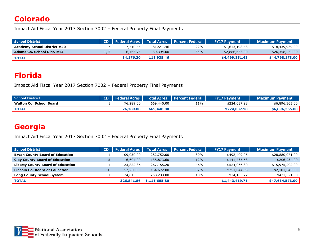#### <span id="page-6-0"></span>**Colorado**

Impact Aid Fiscal Year 2017 Section 7002 – Federal Property Final Payments

| <b>School District</b>             |      |           |            | CD   Federal Acres   Total Acres   Percent Federal | <b>FY17 Payment</b> | <b>Maximum Payment</b> |
|------------------------------------|------|-----------|------------|----------------------------------------------------|---------------------|------------------------|
| <b>Academy School District #20</b> |      | 17,710.45 | 81.541.46  | 22%                                                | \$1,613,198.43      | \$18,439,939.00        |
| Adams Co. School Dist. #14         | 1, 5 | 16.465.75 | 30,394.00  | 54%                                                | \$2,886,653.00      | \$26,358,234.00        |
| <b>TOTAL</b>                       |      | 34,176,20 | 111,935,46 |                                                    | \$4,499,851.43      | \$44,798,173,00        |

#### <span id="page-6-1"></span>**Florida**

Impact Aid Fiscal Year 2017 Section 7002 – Federal Property Final Payments

| <b>School District</b>         |           |            | CD   Federal Acres   Total Acres   Percent Federal | <b>FY17 Payment</b> | <b>Maximum Payment</b> |
|--------------------------------|-----------|------------|----------------------------------------------------|---------------------|------------------------|
| <b>Walton Co. School Board</b> | 76,289.00 | 669,440.00 | $11\%$                                             | \$224,037.98        | \$6,896,365.00         |
| TOTAL                          | 76,289.00 | 669,440,00 |                                                    | \$224,037.98        | \$6,896,365,00         |

## <span id="page-6-2"></span>**Georgia**

| <b>School District</b>                   | <b>CD</b> | <b>Federal Acres</b> | <b>Total Acres</b> | <b>Percent Federal</b> | <b>FY17 Payment</b> | <b>Maximum Payment</b> |
|------------------------------------------|-----------|----------------------|--------------------|------------------------|---------------------|------------------------|
| <b>Bryan County Board of Education</b>   |           | 109,050.00           | 282,752.00         | 39%                    | \$492,409.05        | \$28,880,071.00        |
| <b>Clay County Board of Education</b>    |           | 16,604.00            | 138,873.60         | 12%                    | \$141,735.63        | \$206,234.00           |
| <b>Liberty County Board of Education</b> |           | 123,822.86           | 267,155,20         | 46%                    | \$524,066.30        | \$15,975,202.00        |
| <b>Lincoln Co. Board of Education</b>    | 10        | 52,750.00            | 164,672.00         | 32%                    | \$251,044.96        | \$2,101,545.00         |
| <b>Long County School System</b>         |           | 24,615.00            | 258,233.00         | 10%                    | \$34,163.77         | \$471,521.00           |
| <b>TOTAL</b>                             |           | 326,841,86           | 1,111,685.80       |                        | \$1,443,419.71      | \$47,634,573.00        |

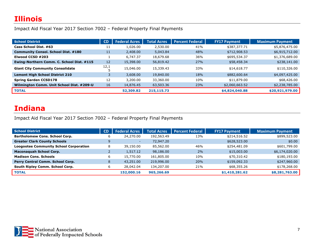<span id="page-7-0"></span>Impact Aid Fiscal Year 2017 Section 7002 – Federal Property Final Payments

| <b>School District</b>                     | <b>CD</b> | <b>Federal Acres</b> | <b>Total Acres</b> | <b>Percent Federal</b> | <b>FY17 Payment</b> | <b>Maximum Payment</b> |
|--------------------------------------------|-----------|----------------------|--------------------|------------------------|---------------------|------------------------|
| Cass School Dist. #63                      | 11        | 1,026.00             | 2,530.00           | 41%                    | \$387,377.71        | \$5,876,475.00         |
| <b>Community Consol. School Dist. #180</b> | 11        | 2,408.00             | 5,043.84           | 48%                    | \$712,908.53        | \$6,915,712.00         |
| Elwood CCSD #203                           |           | 6.747.37             | 18,679.68          | 36%                    | \$695,534.37        | \$1,376,689.00         |
| Ewing-Northern Comm. C. School Dist. #115  | 12        | 15,398.00            | 56,819.42          | 27%                    | \$58,458.34         | \$238,141.00           |
| <b>Giant City Community Consolidate</b>    | 12,1      | 15,046.00            | 15,339.43          | 33%                    | \$14,618.77         | \$110,326.00           |
| <b>Lemont High School District 210</b>     |           | 3,608.00             | 19,840.00          | 18%                    | \$882,600.64        | \$4,097,425.00         |
| <b>Spring Garden CCSD178</b>               | 12        | 3,200.00             | 33,360.00          | 10%                    | \$11,879.00         | \$68,426.00            |
| Wilmington Comm. Unit School Dist. #209-U  | 16        | 14,876.45            | 63,503.36          | 23%                    | \$2,060,663.52      | \$2,238,785.00         |
| <b>TOTAL</b>                               |           | 52,309.82            | 215,115.73         |                        | \$4,824,040.88      | \$20,921,979.00        |

#### <span id="page-7-1"></span>**Indiana**

| <b>School District</b>                        | <b>CD</b> | <b>Federal Acres</b> | <b>Total Acres</b> | <b>Percent Federal</b> | <b>FY17 Payment</b> | Maximum Payment |
|-----------------------------------------------|-----------|----------------------|--------------------|------------------------|---------------------|-----------------|
| <b>Bartholomew Cons. School Corp.</b>         | b         | 24,270.00            | 192,563.49         | 13%                    | \$214,516.52        | \$899,523.00    |
| <b>Greater Clark County Schools</b>           |           |                      | 72,947.20          |                        | \$628,523.00        | \$0.00          |
| <b>Loogootee Community School Corporation</b> | 8         | 39,150.00            | 85,562.00          | 46%                    | \$254,481.09        | \$601,799.00    |
| <b>Maconaquah School Corp.</b>                |           | 1,517.12             | 98,186.00          | 2%                     | \$15,003.00         | \$6,174,020.00  |
| <b>Madison Cons. Schools</b>                  | b         | 15,770.00            | 161,805.00         | 10%                    | \$70,310.42         | \$180,193.00    |
| Perry Central Comm. School Corp.              | 8         | 43,251.00            | 219,996.00         | 20%                    | \$159,092.33        | \$247,960.00    |
| South Ripley Comm. School Corp.               | b         | 28,042.04            | 134,207.00         | 21%                    | \$68,355.26         | \$178,268.00    |
| <b>TOTAL</b>                                  |           | 152,000.16           | 965,266.69         |                        | \$1,410,281.62      | \$8,281,763.00  |

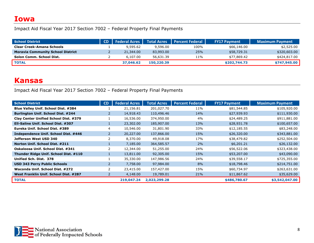#### <span id="page-8-0"></span>**Iowa**

Impact Aid Fiscal Year 2017 Section 7002 – Federal Property Final Payments

| School District                          | <b>CD</b>   Federal Acres | Total Acres | <b>Percent Federal</b> | <b>FY17 Payment</b> | <b>Maximum Payment</b> |
|------------------------------------------|---------------------------|-------------|------------------------|---------------------|------------------------|
| <b>Clear Creek-Amana Schools</b>         | 9,595.62                  | 9,596.00    | 100%                   | \$66,146.00         | \$2,525.00             |
| <b>Moravia Community School District</b> | 21,344.00                 | 83,993,00   | 25%                    | \$58,729.31         | \$320,603.00           |
| Solon Comm. School Dist.                 | 6,107.00                  | 56,631.39   | 11%                    | \$77,869.42         | \$424,817.00           |
| <b>TOTAL</b>                             | 37,046.62                 | 150,220.39  |                        | \$202,744.73        | \$747,945.00           |

#### <span id="page-8-1"></span>**Kansas**

| <b>School District</b>                | CD | <b>Federal Acres</b> | <b>Total Acres</b> | <b>Percent Federal</b> | <b>FY17 Payment</b> | <b>Maximum Payment</b> |
|---------------------------------------|----|----------------------|--------------------|------------------------|---------------------|------------------------|
| Blue Valley Unif. School Dist. #384   |    | 21,156.81            | 201,027.70         | 11%                    | \$81,544.85         | \$105,920.00           |
| Burlington Unif. School Dist. #244    | 2  | 14,918.43            | 110,496.46         | 14%                    | \$27,939.93         | \$111,930.00           |
| Clay Center Unified School Dist. #379 |    | 16,536.00            | 374,950.00         | 4%                     | \$24,489.25         | \$911,881.00           |
| Ell-Saline Unif. School Dist. #307    |    | 23,302.00            | 185,907.00         | 13%                    | \$28,931.78         | \$100,657.00           |
| Eureka Unif. School Dist. #389        | 4  | 10,546.00            | 31,801.90          | 33%                    | \$12,185.55         | \$83,248.00            |
| Independence Unif. School Dist. #446  |    | 20,227.00            | 137,866.00         | 15%                    | \$26,320.00         | \$343,881.00           |
| Jefferson West USD 340                |    | 8,370.00             | 49,918.08          | 17%                    | \$38,479.82         | \$252,504.00           |
| Norton Unif. School Dist. #211        |    | 7,185.00             | 364,585.57         | 2%                     | \$6,201.21          | \$26,132.00            |
| Oskaloosa Unif. School Dist. #341     |    | 12,344.00            | 51,255.00          | 24%                    | \$56,522.06         | \$323,438.00           |
| Thunder Ridge Unif. School Dist. #110 |    | 13,811.00            | 92,305.00          | 15%                    | \$53,207.00         | \$43,090.00            |
| Unified Sch. Dist. 378                |    | 35,330.00            | 147,986.56         | 24%                    | \$39,558.17         | \$725,355.00           |
| <b>USD 343 Perry Public Schools</b>   |    | 7,758.00             | 97,984.00          | 8%                     | \$18,798.46         | \$214,751.00           |
| Waconda Unif. School Dist. #272       |    | 23,415.00            | 157,427.00         | 15%                    | \$60,734.97         | \$263,631.00           |
| West Franklin Unif. School Dist. #287 |    | 4,148.00             | 19,789.01          | 21%                    | \$11,867.62         | \$35,629.00            |
| <b>TOTAL</b>                          |    | 219,047.24           | 2,023,299.28       |                        | \$486,780.67        | \$3,542,047.00         |

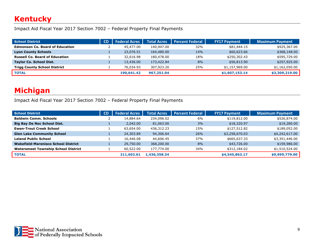#### <span id="page-9-0"></span>**Kentucky**

Impact Aid Fiscal Year 2017 Section 7002 – Federal Property Final Payments

| <b>School District</b>                 | <b>CD</b> | <b>Federal Acres</b> | <b>Total Acres</b> | <b>Percent Federal</b> | <b>FY17 Payment</b> | Maximum Payment |
|----------------------------------------|-----------|----------------------|--------------------|------------------------|---------------------|-----------------|
| <b>Edmonson Co. Board of Education</b> |           | 45,477.00            | 140,947.00         | 32%                    | \$81,444.15         | \$925,367.00    |
| <b>Lyon County Schools</b>             |           | 23,076.51            | 164,480.00         | 14%                    | \$60,623.66         | \$368,148.00    |
| <b>Russell Co. Board of Education</b>  |           | 32,616.98            | 180,478.00         | 18%                    | \$250,302.43        | \$595,729.00    |
| <b>Taylor Co. School Dist.</b>         |           | 13,436.00            | 173,422.84         | 8%                     | \$56,813.90         | \$257,925.00    |
| <b>Trigg County School District</b>    |           | 76,034.93            | 307,923.20         | 25%                    | \$1,157,969.00      | \$1,162,050.00  |
| <b>TOTAL</b>                           |           | 190,641.42           | 967,251.04         |                        | \$1,607,153.14      | \$3,309,219.00  |

## <span id="page-9-1"></span>**Michigan**

| <b>School District</b>                     | <b>CD</b> | <b>Federal Acres</b> | Total Acres  | <b>Percent Federal</b> | <b>FY17 Payment</b> | <b>Maximum Payment</b> |
|--------------------------------------------|-----------|----------------------|--------------|------------------------|---------------------|------------------------|
| <b>Baldwin Comm. Schools</b>               |           | 14,884.64            | 234,096.02   | 6%                     | \$119,812.00        | \$526,874.00           |
| <b>Big Bay De Noc School Dist.</b>         |           | 2,042.00             | 81,063.00    | 3%                     | \$18,320.97         | \$19,280.00            |
| <b>Ewen-Trout Creek School</b>             |           | 63,654.00            | 436,312.23   | 15%                    | \$127,512.82        | \$189,052.00           |
| <b>Glen Lake Community School</b>          |           | 24,303.89            | 94,306.64    | 26%                    | \$3,258,670.03      | \$4,242,617.00         |
| <b>Leland Public School</b>                |           | 16,446.08            | 44,606.45    | 37%                    | \$665,637.33        | \$3,351,446.00         |
| <b>Wakefield-Marenisco School District</b> |           | 29,750.00            | 368,200.00   | 8%                     | \$43,726.00         | \$159,986.00           |
| <b>Watersmeet Township School District</b> |           | 60,522.00            | 177,774.00   | 34%                    | \$312,184.02        | \$1,510,524.00         |
| <b>TOTAL</b>                               |           | 211,602.61           | 1,436,358.34 |                        | \$4,545,863.17      | \$9,999,779.00         |

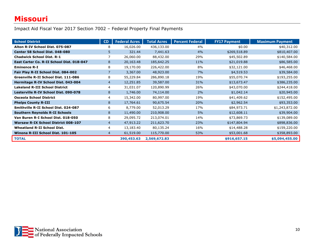#### <span id="page-10-0"></span>**Missouri**

| <b>School District</b>                     | CD             | <b>Federal Acres</b> | <b>Total Acres</b> | <b>Percent Federal</b> | <b>FY17 Payment</b> | <b>Maximum Payment</b> |
|--------------------------------------------|----------------|----------------------|--------------------|------------------------|---------------------|------------------------|
| Alton R-IV School Dist. 075-087            | 8              | 16,026.00            | 436,133.00         | 4%                     | \$0.00              | \$40,312.00            |
| Center 58 School Dist. 048-080             | 5              | 321.44               | 7,441.63           | 4%                     | \$269,518.89        | \$810,407.00           |
| <b>Chadwick School Dist. R-1</b>           |                | 26,060.00            | 88,432.00          | 29%                    | \$45,502.89         | \$140,584.00           |
| East Carter Co. R-II School Dist. 018-047  | 8              | 20,163.48            | 185,642.25         | 11%                    | \$21,019.88         | \$86,585.00            |
| <b>Eminence R-I</b>                        | 8              | 19,170.00            | 226,422.00         | 8%                     | \$32,121.00         | \$46,468.00            |
| Fair Play R-II School Dist. 084-002        |                | 3,367.00             | 48,923.00          | 7%                     | \$4,519.53          | \$39,584.00            |
| Greenville R-II School Dist. 111-086       | 8              | 55,229.84            | 286,890.18         | 19%                    | \$55,070.74         | \$193,255.00           |
| Hermitage R-IV School Dist. 043-004        | $\overline{4}$ | 12,251.85            | 39,587.00          | 31%                    | \$13,673.47         | \$386,235.00           |
| <b>Lakeland R-III School District</b>      | 4              | 31,031.07            | 120,890.99         | 26%                    | \$43,070.00         | \$244,418.00           |
| Lesterville R-IV School Dist, 090-078      | 8              | 1,746.00             | 74,114.00          | 2%                     | \$1,042.14          | \$20,945.00            |
| <b>Osceola School District</b>             | 4              | 15,342.00            | 80,997.00          | 19%                    | \$41,409.62         | \$152,495.00           |
| <b>Phelps County R-III</b>                 | 8              | 17,764.61            | 90,675.54          | 20%                    | \$2,962.54          | \$93,353.00            |
| Smithville R-II School Dist. 024-087       | 6              | 8,779.00             | 52,013.29          | 17%                    | \$84,973.71         | \$1,243,872.00         |
| <b>Southern Reynolds R-II Schools</b>      | 8              | 11,490.00            | 210,908.00         | 5%                     | \$12,608.11         | \$39,904.00            |
| Van Buren R-I School Dist. 018-050         | 8              | 29,095.72            | 213,074.01         | 14%                    | \$73,869.73         | \$139,089.00           |
| <b>Warsaw R-IX School District 008-107</b> | $\overline{4}$ | 47,913.22            | 211,623.70         | 23%                    | \$147,804.94        | \$898,836.00           |
| <b>Wheatland R-II School Dist.</b>         | 4              | 13,183.40            | 80,135.24          | 16%                    | \$14,488.28         | \$159,220.00           |
| Winona R-III School Dist. 101-105          | $\overline{4}$ | 61,519.00            | 115,770.00         | 53%                    | \$53,001.68         | \$358,893.00           |
| <b>TOTAL</b>                               |                | 390,453.63           | 2,569,672.83       |                        | \$916,657.15        | \$5,094,455.00         |

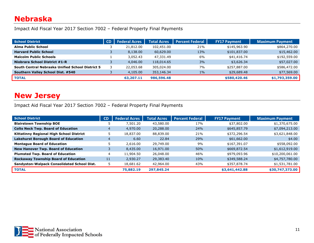#### <span id="page-11-0"></span>**Nebraska**

Impact Aid Fiscal Year 2017 Section 7002 – Federal Property Final Payments

| <b>School District</b>                           | <b>CD</b> | <b>Federal Acres</b> | <b>Total Acres</b> | <b>Percent Federal</b> | <b>FY17 Payment</b> | <b>Maximum Payment</b> |
|--------------------------------------------------|-----------|----------------------|--------------------|------------------------|---------------------|------------------------|
| Alma Public School                               |           | 21,812.00            | 102,451.00         | 21%                    | \$145,963.90        | \$864,270.00           |
| <b>Harvard Public School</b>                     |           | 8,138.00             | 60,629.00          | 13%                    | \$101,837.00        | \$15,462.00            |
| <b>Malcolm Public Schools</b>                    |           | 3,052.43             | 47,331.49          | 6%                     | \$41,416.74         | \$192,559.00           |
| <b>Niobrara School District #1-R</b>             |           | 4,046.00             | 118,014.65         | 3%                     | \$3,626.34          | \$57,027.00            |
| South Central Nebraska Unified School District 5 |           | 22,053.68            | 305,024.00         | 7%                     | \$257,887.00        | \$586,472.00           |
| Southern Valley School Dist. #540                |           | 4,105.00             | 353,146.34         | $1\%$                  | \$29,689.48         | \$77,569.00            |
| <b>TOTAL</b>                                     |           | 63,207.11            | 986,596.48         |                        | \$580,420.46        | \$1,793,359.00         |

#### <span id="page-11-1"></span>**New Jersey**

| <b>School District</b>                          | <b>CD</b> | <b>Federal Acres</b> | <b>Total Acres</b> | <b>Percent Federal</b> | <b>FY17 Payment</b> | <b>Maximum Payment</b> |
|-------------------------------------------------|-----------|----------------------|--------------------|------------------------|---------------------|------------------------|
| <b>Blairstown Township BOE</b>                  | Э         | 7,501.20             | 43,580.00          | 17%                    | \$37,802.00         | \$1,370,675.00         |
| <b>Colts Neck Twp. Board of Education</b>       | 4         | 4,970.00             | 20,288.00          | 24%                    | \$645,857.79        | \$7,094,213.00         |
| <b>Kittatinny Regional High School District</b> | 5         | 18,837.00            | 88,839.00          | 21%                    | \$372,296.54        | \$3,621,848.00         |
| <b>Lakehurst Borough Board of Education</b>     |           | 6.60                 | 22.84              | 29%                    | \$61,662.00         | \$4.00                 |
| <b>Montague Board of Education</b>              |           | 2,616.00             | 29,749.00          | 9%                     | \$167,391.07        | \$558,092.00           |
| New Hanover Twp. Board of Education             |           | 8,435,00             | 16,971.00          | 50%                    | \$669,872.54        | \$1,612,919.00         |
| <b>Plumsted Twp. Board of Education</b>         | 4         | 11,904.50            | 26,048.00          | 46%                    | \$979,093.96        | \$10,200,061.00        |
| <b>Rockaway Township Board of Education</b>     | 11        | 2,930.27             | 29,383.40          | 10%                    | \$349,588.24        | \$4,757,780.00         |
| Sandyston-Walpack Consolidated School Dist.     | 5         | 18,681.62            | 42,964.00          | 43%                    | \$357,878.74        | \$1,531,781.00         |
| <b>TOTAL</b>                                    |           | 75,882.19            | 297,845.24         |                        | \$3,641,442.88      | \$30,747,373.00        |

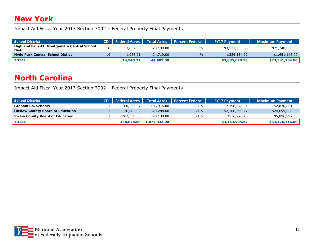#### <span id="page-12-0"></span>**New York**

Impact Aid Fiscal Year 2017 Section 7002 – Federal Property Final Payments

| School District                                              |    | <b>CD</b>   Federal Acres | <b>Total Acres</b> | <b>Percent Federal</b> | <b>FY17 Payment</b> | Maximum Payment |
|--------------------------------------------------------------|----|---------------------------|--------------------|------------------------|---------------------|-----------------|
| <b>Highland Falls-Ft. Montgomery Central School</b><br>Distr | 18 | 13,857.00                 | 20,190.00          | 69%                    | \$3,531,535.66      | \$21,740,636.00 |
| <b>Hyde Park Central School Distict</b>                      |    | 1.086.21                  | 24,719.00          | 4%                     | \$354,134.92        | \$1,641,148.00  |
| <b>TOTAL</b>                                                 |    | 14,943.21                 | 44,909,00          |                        | \$3,885,670.58      | \$23,381,784.00 |

#### <span id="page-12-1"></span>**North Carolina**

| <b>School District</b>                  | CD   Federal Acres |              | Total Acres   Percent Federal | <b>FY17 Payment</b> | <b>Maximum Payment</b> |
|-----------------------------------------|--------------------|--------------|-------------------------------|---------------------|------------------------|
| <b>Graham Co. Schools</b>               | 60.237.97          | 186,915,00   | 32%                           | \$398,878.04        | \$2,830,061.00         |
| <b>Onslow County Board of Education</b> | 126,082.59         | 520,288.00   | 24%                           | \$2,188,299.27      | \$24,699,058.00        |
| <b>Swain County Board of Education</b>  | 262,558.00         | 370,130.00   | 71%                           | \$576,728.26        | \$5,896,997.00         |
| <b>TOTAL</b>                            | 448,878,56         | 1,077,333.00 |                               | \$3,163,905.57      | \$33,426,116.00        |

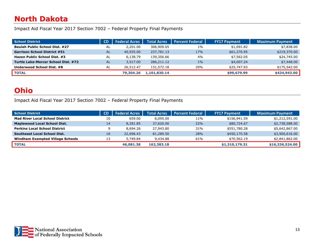## <span id="page-13-0"></span>**North Dakota**

Impact Aid Fiscal Year 2017 Section 7002 – Federal Property Final Payments

| <b>School District</b>                | <b>CD</b> | <b>Federal Acres</b> | <b>Total Acres</b> | <b>Percent Federal</b> | <b>FY17 Payment</b> | Maximum Payment |
|---------------------------------------|-----------|----------------------|--------------------|------------------------|---------------------|-----------------|
| <b>Beulah Public School Dist. #27</b> | AL        | 2,201.00             | 306,909.05         | $1\%$                  | \$1,091.82          | \$7,838.00      |
| <b>Garrison School District #51</b>   | <b>AL</b> | 40,935.00            | 237,781.13         | 17%                    | \$61,270.95         | \$219,370.00    |
| Hazen Public School Dist. #3          | AL        | 6,138.79             | 139,356.66         | 4%                     | \$7,562.05          | \$24,745.00     |
| Turtle Lake-Mercer School Dist. #72   | <b>AL</b> | 3,517.00             | 286,211.12         | $1\%$                  | \$4,007.24          | \$7,448.00      |
| Underwood School Dist. #8             | <b>AL</b> | 26,512.47            | 131,572.18         | 20%                    | \$25,747.93         | \$175,542.00    |
| <b>TOTAL</b>                          |           | 79,304.26            | 1,101,830,14       |                        | \$99,679.99         | \$434,943.00    |

#### <span id="page-13-1"></span>**Ohio**

| <b>School District</b>                  | <b>CD</b> | <b>Federal Acres</b> | <b>Total Acres</b> | <b>Percent Federal</b> | <b>FY17 Payment</b> | <b>Maximum Payment</b> |
|-----------------------------------------|-----------|----------------------|--------------------|------------------------|---------------------|------------------------|
| <b>Mad River Local School District</b>  | 10        | 659.00               | 6,095.00           | 11%                    | \$156,941.59        | \$1,212,591.00         |
| <b>Maplewood Local School Dist.</b>     | 14        | 8,281.85             | 37,620.00          | 22%                    | \$80,724.67         | \$2,738,588.00         |
| <b>Perkins Local School District</b>    |           | 8,694.26             | 27,943.80          | 31%                    | \$551,780.28        | \$5,642,867.00         |
| <b>Southeast Local School Dist.</b>     | 16        | 22,696.43            | 81,289.50          | 28%                    | \$450,170.58        | \$3,900,616.00         |
| <b>Windham Exempted Village Schools</b> | 13        | 5,749.84             | 9,434.88           | 61%                    | \$70,562.19         | \$2,841,862.00         |
| <b>TOTAL</b>                            |           | 46,081.38            | 162,383.18         |                        | \$1,310,179.31      | \$16,336,524.00        |

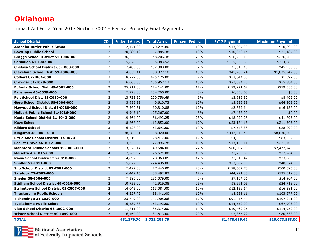#### <span id="page-14-0"></span>**Oklahoma**

| <b>School District</b>                 | CD             | <b>Federal Acres</b> | <b>Total Acres</b> | <b>Percent Federal</b> | <b>FY17 Payment</b> | <b>Maximum Payment</b> |
|----------------------------------------|----------------|----------------------|--------------------|------------------------|---------------------|------------------------|
| Arapaho-Butler Public School           | 3              | 12,471.00            | 70,274.80          | 18%                    | \$13,207.00         | \$10,895.00            |
| <b>Bowring Public School</b>           | $\overline{2}$ | 20,689.12            | 157,885.38         | 13%                    | \$10,978.14         | \$21,187.00            |
| Braggs School District 51-I046-000     | 2              | 36,325.00            | 48,706.48          | 75%                    | \$26,755.19         | \$226,760.00           |
| <b>Canadian 61-I002-000</b>            | $\overline{2}$ | 15,878.00            | 65,083.52          | 24%                    | \$125,538.65        | \$314,588.00           |
| Chelsea School District 66-1003-000    | $\overline{2}$ | 7,483.00             | 102,808.00         | 7%                     | \$5,019.19          | \$45,958.00            |
| Cleveland School Dist. 59-1006-000     | 3              | 14,039.14            | 88,877.18          | 16%                    | \$45,209.24         | \$1,835,247.00         |
| <b>Colbert 07-1004-000</b>             | $\overline{2}$ | 8,279.00             | 425,176.00         | 2%                     | \$33,044.00         | \$1,392.00             |
| Crowder 61-I028-000                    | $\overline{2}$ | 16,060.00            | 105,957.12         | 15%                    | \$27,084.76         | \$55,884.00            |
| Eufaula School Dist. 49-1001-000       | $\overline{2}$ | 25,211.00            | 174,141.00         | 14%                    | \$179,921.62        | \$279,335.00           |
| <b>Fanshawe 40-C039-000</b>            | $\overline{2}$ | 7,778.00             | 234,765.00         | 3%                     | \$6,338.00          | \$0.00                 |
| Felt School Dist. 13-I010-000          | 3              | 13,733.50            | 220,756.69         | 6%                     | \$3,989.82          | \$8,406.00             |
| Gore School District 68-1006-000       | $\overline{2}$ | 3,956.33             | 40,610.73          | 10%                    | \$5,259.58          | \$64,305.00            |
| Haywood School Dist. 61-C088-000       | $\overline{2}$ | 7,560.31             | 60,810.88          | 12%                    | \$2,752.64          | \$16,136.00            |
| Hulbert Public School 11-I016-000      | $\overline{2}$ | 9,945.10             | 125,267.00         | 8%                     | \$7,457.00          | \$0.00                 |
| Keota School District 31-1043-000      | 2              | 19,564.00            | 86,493.25          | 23%                    | \$18,027.28         | \$41,795.00            |
| <b>Keys School</b>                     | $\overline{2}$ | 18,868.00            | 113,852.00         | 17%                    | \$23,184.13         | \$211,505.00           |
| <b>Kildare School</b>                  | 3              | 6,428.00             | 63,693.00          | 10%                    | \$7,548.38          | \$28,090.00            |
| Kingston 45-1003-000                   | $\overline{2}$ | 38,585.31            | 108,320.00         | 36%                    | \$442,048.49        | \$8,836,303.00         |
| Little Axe School District 14-1070     | $\overline{4}$ | 3,319.00             | 28,417.00          | 12%                    | \$4,669.55          | \$83,657.00            |
| <b>Locust Grove 46-1017-000</b>        | $\overline{2}$ | 14,720.00            | 77,896.78          | 19%                    | \$13,153.11         | \$221,408.00           |
| Mannford Public Schools 19-1003-000    | 3              | 13,528.14            | 49,584.00          | 27%                    | \$60,507.95         | \$2,472,745.00         |
| Marietta 43-1016-000                   | $\overline{4}$ | 7,269.97             | 76,521.00          | 10%                    | \$3,759.89          | \$77,264.00            |
| Ravia School District 35-C010-000      | 2              | 4,897.00             | 28,068.85          | 17%                    | \$7,318.47          | \$23,866.00            |
| <b>Shidler 57-1011-000</b>             | $\overline{3}$ | 5,827.00             | 224,435.86         | 3%                     | \$23,902.00         | \$40,674.00            |
| Silo School District 07-1001-000       | $\overline{2}$ | 17,429.00            | 77,440.00          | 23%                    | \$178,567.73        | \$500,695.00           |
| <b>Skiatook 72-1007-000</b>            | $\mathbf{1}$   | 6,449.16             | 38,492.83          | 17%                    | \$44,971.83         | \$125,319.00           |
| Snyder 38-1004-000                     | 3              | 7,193.00             | 221,079.00         | 3%                     | \$7,134.06          | \$14,904.00            |
| Stidham School District 49-C016-000    | $\overline{2}$ | 10,752.00            | 42,919.38          | 25%                    | \$8,291.05          | \$24,713.00            |
| Stringtown School District 03-I007-000 | 2              | 14,045.00            | 113,084.00         | 12%                    | \$12,159.64         | \$16,381.00            |
| <b>Thackerville Public Schools</b>     | $\overline{4}$ | 4,527.79             | 38,441.00          | 12%                    | \$8,228.11          | \$103,677.00           |
| <b>Tishomingo 35-I020-000</b>          | $\overline{2}$ | 23,749.00            | 141,905.06         | 17%                    | \$91,446.44         | \$107,271.00           |
| <b>Tuskahoma Public School</b>         | $\overline{2}$ | 16,539.83            | 163,192.00         | 10%                    | \$14,552.00         | \$67,903.00            |
| Vian School District 68-1002-000       | $\overline{2}$ | 11,811.00            | 85,374.00          | 14%                    | \$10,769.26         | \$114,952.00           |
| Wister School District 40-1049-000     | $\overline{2}$ | 6,469.00             | 31,873.00          | 20%                    | \$5,865.22          | \$80,338.00            |
| <b>TOTAL</b>                           |                | 451,379.70           | 3,732,201.79       |                        | \$1,478,659.42      | \$16,073,553.00        |

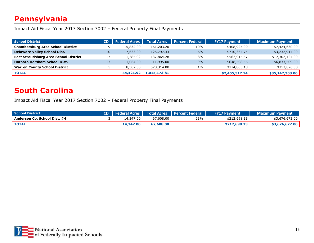## <span id="page-15-0"></span>**Pennsylvania**

Impact Aid Fiscal Year 2017 Section 7002 – Federal Property Final Payments

| <b>School District</b>                       | <b>CD</b> | <b>Federal Acres</b> | <b>Total Acres</b> | <b>Percent Federal</b> | <b>FY17 Payment</b> | <b>Maximum Payment</b> |
|----------------------------------------------|-----------|----------------------|--------------------|------------------------|---------------------|------------------------|
| <b>Chambersburg Area School District</b>     |           | 15,832.00            | 161,203.20         | 10%                    | \$408,925.09        | \$7,424,630.00         |
| <b>Delaware Valley School Dist.</b>          | 10        | 7,633.00             | 125,797.33         | 6%                     | \$710,364.74        | \$3,232,914.00         |
| <b>East Stroudsburg Area School District</b> |           | 11,385.92            | 137,864.28         | 8%                     | \$562,915.57        | \$17,302,424.00        |
| <b>Hatboro Horsham School Dist.</b>          | 13        | 1,064.00             | 11,995.00          | 9%                     | \$648,508.56        | \$6,833,509.00         |
| <b>Warren County School District</b>         |           | 8,507.00             | 578,314.00         | $1\%$                  | \$124,803.18        | \$353,826.00           |
| <b>TOTAL</b>                                 |           | 44,421.92            | 1,015,173.81       |                        | \$2,455,517.14      | \$35,147,303.00        |

#### <span id="page-15-1"></span>**South Carolina**

| <b>School District</b>       |           |           | CD   Federal Acres   Total Acres   Percent Federal | <b>FY17 Payment</b> | <b>Maximum Payment</b> |
|------------------------------|-----------|-----------|----------------------------------------------------|---------------------|------------------------|
| Anderson Co. School Dist. #4 | 14,247.00 | 67,608,00 | 21%                                                | \$212,698.13        | \$3,676,672.00         |
| <b>TOTAL</b>                 | 14,247.00 | 67,608,00 |                                                    | \$212,698.13        | \$3,676,672,00         |

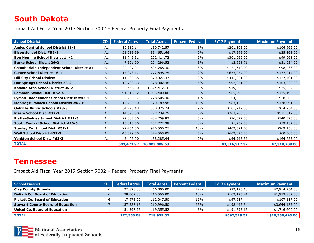## <span id="page-16-0"></span>**South Dakota**

Impact Aid Fiscal Year 2017 Section 7002 – Federal Property Final Payments

| <b>School District</b>                        | CD        | <b>Federal Acres</b> | <b>Total Acres</b> | <b>Percent Federal</b> | <b>FY17 Payment</b> | <b>Maximum Payment</b> |
|-----------------------------------------------|-----------|----------------------|--------------------|------------------------|---------------------|------------------------|
| <b>Andes Central School District 11-1</b>     | AL        | 10,312.14            | 130,742.57         | 8%                     | \$201,103.00        | \$106,962.00           |
| <b>Bison School Dist. #52-1</b>               | <b>AL</b> | 21,288.99            | 854,651.66         | 2%                     | \$17,595.00         | \$25,868.00            |
| <b>Bon Homme School District #4-2</b>         | AL        | 11,749.51            | 202,414.72         | 6%                     | \$301,062.00        | \$99,068.00            |
| <b>Burke School Dist. #26-2</b>               | <b>AL</b> | 7,501.00             | 224,296.52         | 3%                     | \$2,968.71          | \$31,034.00            |
| Chamberlain Independent School District #1    | AL        | 20,407.91            | 594,268.30         | 3%                     | \$121,610.00        | \$98,933.00            |
| <b>Custer School District 16-1</b>            | <b>AL</b> | 17,973.17            | 772,898.75         | 2%                     | \$673,977.00        | \$137,217.00           |
| <b>Hill City School Distirct</b>              | AL        | 11,600.65            | 370,927.47         | 3%                     | \$441,031.00        | \$127,401.00           |
| <b>Hot Springs School District 23-2</b>       | AL        | 13,799.63            | 378,302.48         | 4%                     | \$92,071.00         | \$103,232.00           |
| Kadoka Area School District 35-2              | AL        | 42,448.00            | 1,324,412.16       | 3%                     | \$19,004.00         | \$25,557.00            |
| Lemmon School Dist. #52-4                     | <b>AL</b> | 91,516.32            | 1,053,400.06       | 9%                     | \$65,999.00         | \$125,199.00           |
| Lyman Independent School District #42-1       | AL        | 8,209.07             | 778,505.40         | $1\%$                  | \$4,854.39          | \$18,365.00            |
| <b>Mobridge-Pollock School District #62-6</b> | AL        | 17,209.00            | 170,189.98         | 10%                    | \$83,124.00         | \$178,991.00           |
| <b>Oelrichs Public Schools #23-3</b>          | AL        | 34,275.43            | 360,825.74         | 9%                     | \$101,717.00        | \$14,934.00            |
| Pierre School Dist. #32-2                     | <b>AL</b> | 14,378.00            | 227,239.75         | 6%                     | \$262,900.86        | \$531,617.00           |
| <b>Platte-Geddes School District #11-5</b>    | <b>AL</b> | 22,002.00            | 404,259.83         | 5%                     | \$76,397.00         | \$140,376.00           |
| South Central School District #26-5           | AL        | 16,813.00            | 202,272.38         | 8%                     | \$1,259.00          | \$59,137.00            |
| Stanley Co. School Dist. #57-1                | AL        | 92,451.00            | 970,550.27         | 10%                    | \$402,621.00        | \$269,158.00           |
| <b>Wall School District #51-5</b>             | <b>AL</b> | 46,079.00            | 844,565.05         | 5%                     | \$602,075.00        | \$60,506.00            |
| Yankton School Dist. #63-3                    | AL        | 2,409.00             | 138,285.44         | 2%                     | \$44,943.36         | \$164,653.00           |
| <b>TOTAL</b>                                  |           | 502,422.82           | 10,003,008.53      |                        | \$3,516,312.32      | \$2,318,208.00         |

#### <span id="page-16-1"></span>**Tennessee**

| <b>School District</b>                   | <b>CD</b> | <b>Federal Acres</b> | <b>Total Acres</b> | <b>Percent Federal</b> | <b>FY17 Payment</b> | <b>Maximum Payment</b> |
|------------------------------------------|-----------|----------------------|--------------------|------------------------|---------------------|------------------------|
| <b>Clay County Schools</b>               |           | 27,878,00            | 66,000.00          | 42%                    | \$92,176.18         | \$2,914,754.00         |
| <b>DeKalb Co. Board of Education</b>     |           | 38,062.00            | 210,560.00         | 18%                    | \$162,126.41        | \$1,953,837.00         |
| <b>Pickett Co. Board of Education</b>    |           | 17,973.00            | 112,047.50         | 16%                    | \$47,987.44         | \$107,117.00           |
| <b>Stewart County Board of Education</b> |           | 137,238.13           | 210,996.50         | 65%                    | \$198,445.84        | \$3,644,185.00         |
| <b>Unicol Co. Board of Education</b>     |           | 51,398.95            | 119,355.52         | 43%                    | \$191,793.65        | \$1,716,600.00         |
| <b>TOTAL</b>                             |           | 272,550.08           | 718,959.52         |                        | \$692,529.52        | \$10,336,493.00        |

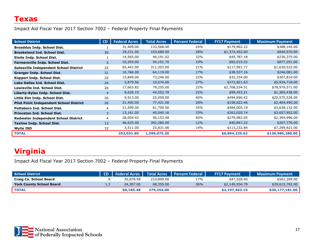<span id="page-17-0"></span>Impact Aid Fiscal Year 2017 Section 7002 – Federal Property Final Payments

| <b>School District</b>                         | CD             | <b>Federal Acres</b> | <b>Total Acres</b> | <b>Percent Federal</b> | <b>FY17 Payment</b> | <b>Maximum Payment</b> |
|------------------------------------------------|----------------|----------------------|--------------------|------------------------|---------------------|------------------------|
| <b>Broaddus Indp. School Dist.</b>             |                | 31,409.00            | 133,568.00         | 24%                    | \$179,902.22        | \$388,145.00           |
| <b>Brookeland Ind. School Dist.</b>            | 36             | 29,231.00            | 103,680.00         | 28%                    | \$1,372,452.00      | \$840,570.00           |
| <b>Etoile Indp. School Dist.</b>               |                | 14,565.00            | 46,191.02          | 32%                    | \$45,787.18         | \$236,375.00           |
| <b>Farmersville Indp. School Dist.</b>         | 5              | 10,293.00            | 54,101.70          | 19%                    | \$92,015.22         | \$877,251.00           |
| <b>Gatesville Independent School District</b>  | 25             | 65,441.00            | 311,203.00         | 21%                    | \$117,991.77        | \$1,630,522.00         |
| <b>Granger Indp. School Dist.</b>              | 31             | 10,766.00            | 64,119.00          | 17%                    | \$38,537.16         | \$246,081.00           |
| Kopperl Indp. School Dist.                     | 25             | 15,849.00            | 73,246.00          | 22%                    | \$32,334.00         | \$307,814.00           |
| Lake Dallas Ind. School Dist.                  | 26             | 2,879.56             | 10,674.00          | 27%                    | \$372,821.63        | \$5,934,718.00         |
| <b>Lewisville Ind. School Dist.</b>            | 26             | 17,663.82            | 79,255.00          | 22%                    | \$2,708,534.31      | \$78,979,571.00        |
| Liberty-Eylau Indp. School Dist.               | $\overline{4}$ | 9,626.10             | 44,552.78          | 22%                    | \$99,453.21         | \$1,365,438.00         |
| Little Elm Indp. School Dist.                  | 26             | 9,913.00             | 25,059.00          | 40%                    | \$494,696.42        | \$20,575,528.00        |
| <b>Pilot Point Independent School District</b> | 26             | 21,495.00            | 77,421.00          | 28%                    | \$158,622.46        | \$2,404,490.00         |
| <b>Pottsboro Ind. School Dist.</b>             | 4              | 21,599.00            | 61,700.00          | 35%                    | \$484,005.19        | \$3,638,132.00         |
| <b>Princeton Ind. School Dist.</b>             | 3              | 13,161.00            | 40,040.16          | 33%                    | \$263,020.74        | \$3,657,952.00         |
| <b>Redwater Independent School District</b>    | 4              | 28,004.42            | 56,153.48          | 50%                    | \$279,982.05        | \$2,394,996.00         |
| <b>Texline Indp. School Dist.</b>              | 13             | 46,625.00            | 392,280.00         | 12%                    | \$40,847.22         | \$207,776.00           |
| <b>Wylie ISD</b>                               | 32             | 3,511.00             | 25,831.06          | 14%                    | \$113,232.84        | \$7,299,921.00         |
| <b>TOTAL</b>                                   |                | 352,031.90           | 1,599,075.20       |                        | \$6,894,235.62      | \$130,985,280.00       |

## <span id="page-17-1"></span>**Virginia**

| School District                 | CD | <b>Federal Acres</b> |            | Total Acres   Percent Federal | <b>FY17 Payment</b> | <b>Maximum Payment</b> |
|---------------------------------|----|----------------------|------------|-------------------------------|---------------------|------------------------|
| Craig Co. School Board          |    | 35.878.48            | 210,899.00 | 17%                           | \$47,528.40         | \$561,399.00           |
| <b>York County School Board</b> |    | 24,307.00            | 68,355,00  | 36%                           | \$2,149,934.79      | \$29,615,782.00        |
| <b>TOTAL</b>                    |    | 60,185.48            | 279,254,00 |                               | \$2,197,463.19      | \$30,177,181,00        |

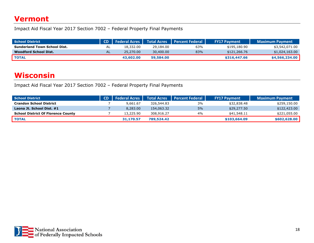#### <span id="page-18-0"></span>**Vermont**

Impact Aid Fiscal Year 2017 Section 7002 – Federal Property Final Payments

| <b>School District</b>              |                                | CD   Federal Acres   Total Acres |           | <b>Percent Federal</b> | <b>FY17 Payment</b> | <b>Maximum Payment</b> |
|-------------------------------------|--------------------------------|----------------------------------|-----------|------------------------|---------------------|------------------------|
| <b>Sunderland Town School Dist.</b> | ΑL                             | 18,332.00                        | 29,184.00 | 63%                    | \$195,180.90        | \$3,542,071.00         |
| Woodford School Dist.               | ΔI<br>$\overline{\phantom{a}}$ | 25,270.00                        | 30,400.00 | 83%                    | \$121,266.76        | \$1,024,163.00         |
| <b>TOTAL</b>                        |                                | 43,602.00                        | 59.584.00 |                        | \$316,447.66        | \$4,566,234,00         |

#### <span id="page-18-1"></span>**Wisconsin**

| <b>School District</b>                    | <b>CD</b>   Federal Acres | Total Acres | ll Percent Federal l | <b>FY17 Payment</b> | <b>Maximum Payment</b> |
|-------------------------------------------|---------------------------|-------------|----------------------|---------------------|------------------------|
| <b>Crandon School District</b>            | 9.661.67                  | 326,544.83  | 3%                   | \$32,838.48         | \$259,150.00           |
| Laona Jt. School Dist. #1                 | 8,283,00                  | 154,063.32  | 5%                   | \$29,277,50         | \$122,423.00           |
| <b>School District Of Florence County</b> | 13,225.90                 | 308,916.27  | $4\%$                | \$41,548.11         | \$221,055.00           |
| <b>TOTAL</b>                              | 31,170.57                 | 789,524.42  |                      | \$103,664.09        | \$602,628.00           |